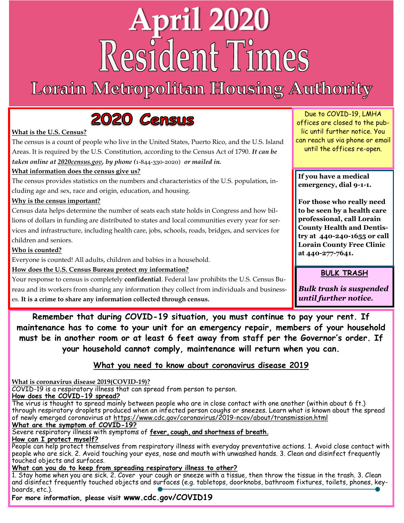# **April 2020** Resident Times

## Lorain Metropolitan Housing Authority



#### **What is the U.S. Census?**

The census is a count of people who live in the United States, Puerto Rico, and the U.S. Island Areas. It is required by the U.S. Constitution, according to the Census Act of 1790. *It can be taken online at 2020census.gov, by phone (*1-844-330-2020) *or mailed in.*

#### **What information does the census give us?**

The census provides statistics on the numbers and characteristics of the U.S. population, including age and sex, race and origin, education, and housing.

#### **Why is the census important?**

Census data helps determine the number of seats each state holds in Congress and how billions of dollars in funding are distributed to states and local communities every year for services and infrastructure, including health care, jobs, schools, roads, bridges, and services for children and seniors.

#### **Who is counted?**

Everyone is counted! All adults, children and babies in a household.

#### **How does the U.S. Census Bureau protect my information?**

Your response to census is completely **confidential**. Federal law prohibits the U.S. Census Bureau and its workers from sharing any information they collect from individuals and businesses. **It is a crime to share any information collected through census.** 

Due to COVID-19, LMHA offices are closed to the public until further notice. You can reach us via phone or email until the offices re-open.

**If you have a medical emergency, dial 9-1-1.** 

**For those who really need to be seen by a health care professional, call Lorain County Health and Dentistry at 440-240-1655 or call Lorain County Free Clinic at 440-277-7641.** 

**BULK TRASH** 

*Bulk trash is suspended until further notice.* 

**Remember that during COVID-19 situation, you must continue to pay your rent. If maintenance has to come to your unit for an emergency repair, members of your household must be in another room or at least 6 feet away from staff per the Governor's order. If your household cannot comply, maintenance will return when you can.** 

### **What you need to know about coronavirus disease 2019**

**What is coronavirus disease 2019(COVID-19)?** 

COVID-19 is a respiratory illness that can spread from person to person.

#### **How does the COVID-19 spread?**

The virus is thought to spread mainly between people who are in close contact with one another (within about 6 ft.) through respiratory droplets produced when an infected person coughs or sneezes. Learn what is known about the spread of newly emerged coronavirus at https://www.cdc.gov/coronavirus/2019-ncov/about/transmission.html

#### **What are the symptom of COVID-19?**

Severe respiratory illness with symptoms of **fever, cough, and shortness of breath. How can I protect myself?** 

People can help protect themselves from respiratory illness with everyday preventative actions. 1. Avoid close contact with people who are sick. 2. Avoid touching your eyes, nose and mouth with unwashed hands. 3. Clean and disinfect frequently touched objects and surfaces.

**What can you do to keep from spreading respiratory illness to other?** 

1. Stay home when you are sick. 2. Cover your cough or sneeze with a tissue, then throw the tissue in the trash. 3. Clean and disinfect frequently touched objects and surfaces (e.g. tabletops, doorknobs, bathroom fixtures, toilets, phones, keyboards, etc.).

**For more information, please visit www.cdc.gov/COVID19**